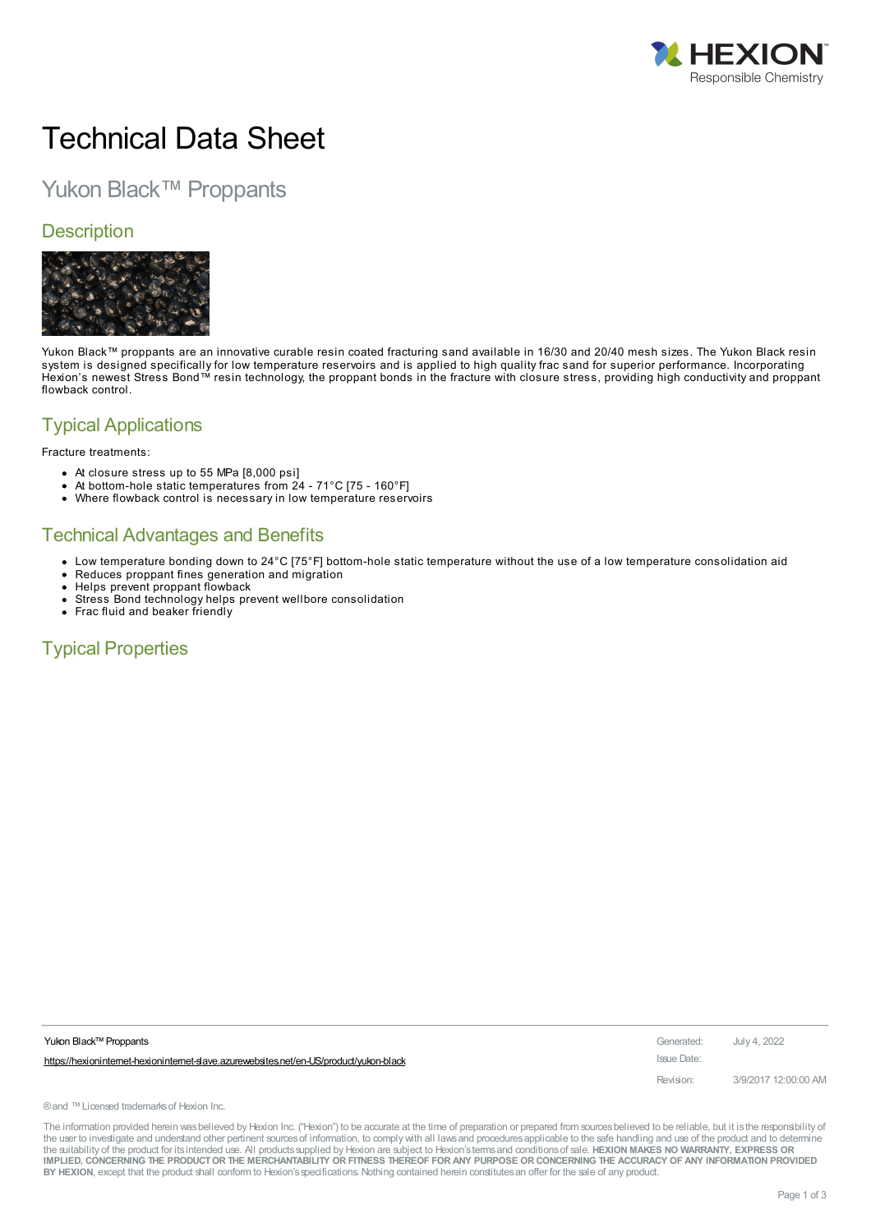

# Technical Data Sheet

## Yukon Black™ Proppants

#### **Description**



Yukon Black™ proppants are an innovative curable resin coated fracturing sand available in 16/30 and 20/40 mesh sizes. The Yukon Black resin system is designed specifically for low temperature reservoirs and is applied to high quality frac sand for superior performance. Incorporating Hexion's newest Stress Bond™ resin technology, the proppant bonds in the fracture with closure stress, providing high conductivity and proppant flowback control.

#### Typical Applications

Fracture treatments:

- At closure stress up to 55 MPa [8,000 psi]
- At bottom-hole static temperatures from 24 71°C [75 160°F]
- $\bullet$ Where flowback control is necessary in low temperature reservoirs

#### Technical Advantages and Benefits

- Low temperature bonding down to 24°C [75°F] bottom-hole static temperature without the use of a low temperature consolidation aid
- $\bullet$ Reduces proppant fines generation and migration
- Helps prevent proppant flowback
- Stress Bond technology helps prevent wellbore consolidation
- Frac fluid and beaker friendly

### Typical Properties

| Yukon Black™ Proppants                                                                  | Generated:  | July 4, 2022         |
|-----------------------------------------------------------------------------------------|-------------|----------------------|
| https://hexioninternet-hexioninternet-slave.azurewebsites.net/en-US/product/yukon-black | Issue Date: |                      |
|                                                                                         | Revision:   | 3/9/2017 12:00:00 AM |

® and ™Licensed trademarks of Hexion Inc.

The information provided herein was believed by Hexion Inc. ("Hexion") to be accurate at the time of preparation or prepared from sources believed to be reliable, but it is the responsibility of the user to investigate and understand other pertinent sources of information, to comply with all laws and procedures applicable to the safe handling and use of the product and to determine the suitability of the product for itsintended use. All productssupplied by Hexion are subject to Hexion'stermsand conditionsof sale. **HEXION MAKES NO WARRANTY, EXPRESS OR** IMPLIED, CONCERNING THE PRODUCT OR THE MERCHANTABILITY OR FITNESS THEREOF FOR ANY PURPOSE OR CONCERNING THE ACCURACY OF ANY INFORMATION PROVIDED **BY HEXION**, except that the product shall conform to Hexion'sspecifications. Nothing contained herein constitutesan offer for the sale of any product.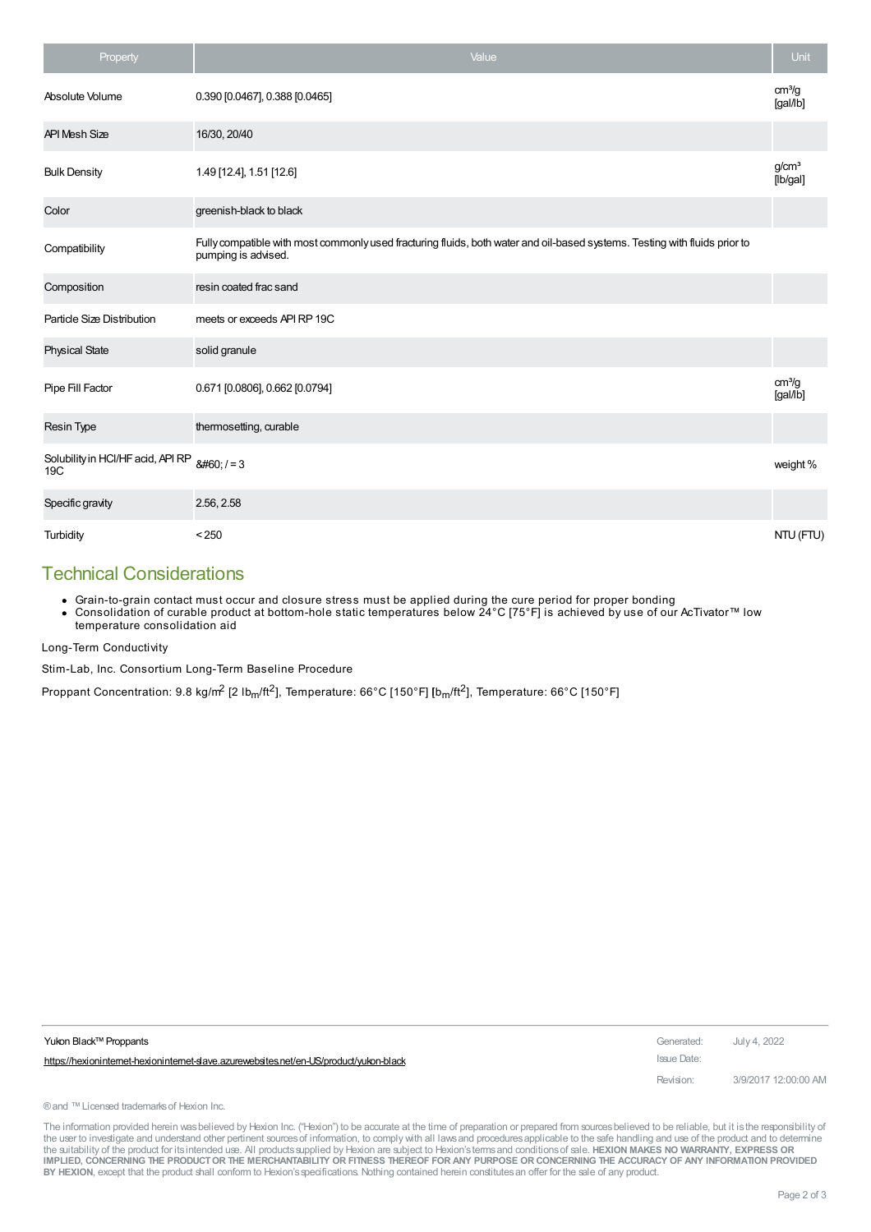| Property                                 | Value                                                                                                                                             | Unit                           |
|------------------------------------------|---------------------------------------------------------------------------------------------------------------------------------------------------|--------------------------------|
| Absolute Volume                          | 0.390 [0.0467], 0.388 [0.0465]                                                                                                                    | cm <sup>3</sup> /g<br>[gal/lb] |
| <b>API Mesh Size</b>                     | 16/30, 20/40                                                                                                                                      |                                |
| <b>Bulk Density</b>                      | 1.49 [12.4], 1.51 [12.6]                                                                                                                          | q/cm <sup>3</sup><br>[lb/gal]  |
| Color                                    | greenish-black to black                                                                                                                           |                                |
| Compatibility                            | Fully compatible with most commonly used fracturing fluids, both water and oil-based systems. Testing with fluids prior to<br>pumping is advised. |                                |
| Composition                              | resin coated frac sand                                                                                                                            |                                |
| Particle Size Distribution               | meets or exceeds API RP 19C                                                                                                                       |                                |
| <b>Physical State</b>                    | solid granule                                                                                                                                     |                                |
| Pipe Fill Factor                         | 0.671 [0.0806], 0.662 [0.0794]                                                                                                                    | cm <sup>3</sup> /g<br>[gal/lb] |
| <b>Resin Type</b>                        | thermosetting, curable                                                                                                                            |                                |
| Solubility in HCl/HF acid, API RP<br>19C | $<  -3$                                                                                                                                           | weight %                       |
| Specific gravity                         | 2.56, 2.58                                                                                                                                        |                                |
| Turbidity                                | < 250                                                                                                                                             | NTU (FTU)                      |

#### Technical Considerations

Grain-to-grain contact must occur and closure stress must be applied during the cure period for proper bonding

Consolidation of curable product at bottom-hole static temperatures below 24°C [75°F] is achieved by use of our AcTivator™ low temperature consolidation aid

Long-Term Conductivity

Stim-Lab, Inc. Consortium Long-Term Baseline Procedure

Proppant Concentration: 9.8 kg/m<sup>2</sup> [2 lb<sub>m</sub>/ft<sup>2</sup>], Temperature: 66°C [150°F] [b<sub>m</sub>/ft<sup>2</sup>], Temperature: 66°C [150°F]

| Yukon Black™ Proppants                                                                  | Generated:  | July 4, 2022         |
|-----------------------------------------------------------------------------------------|-------------|----------------------|
| https://hexioninternet-hexioninternet-slave.azurewebsites.net/en-US/product/vukon-black | Issue Date: |                      |
|                                                                                         | Revision:   | 3/9/2017 12:00:00 AM |

® and ™ Licensed trademarks of Hexion Inc.

The information provided herein was believed by Hexion Inc. ("Hexion") to be accurate at the time of preparation or prepared from sources believed to be reliable, but it is the responsibility of the user to investigate and understand other pertinent sources of information, to comply with all laws and procedures applicable to the safe handling and use of the product and to determine<br>the suitability of the product f IMPLIED, CONCERNING THE PRODUCT OR THE MERCHANTABILITY OR FITNESS THEREOF FOR ANY PURPOSE OR CONCERNING THE ACCURACY OF ANY INFORMATION PROVIDED **BY HEXION**, except that the product shall conform to Hexion'sspecifications. Nothing contained herein constitutesan offer for the sale of any product.